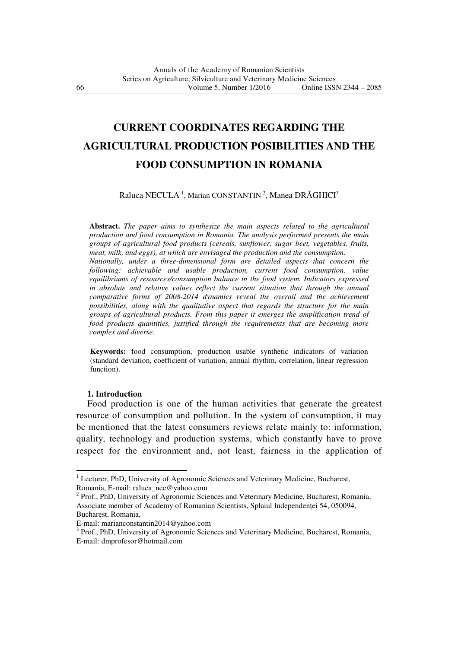# **CURRENT COORDINATES REGARDING THE AGRICULTURAL PRODUCTION POSIBILITIES AND THE FOOD CONSUMPTION IN ROMANIA**

Raluca NECULA<sup>1</sup>, Marian CONSTANTIN<sup>2</sup>, Manea DRĂGHICI<sup>3</sup>

**Abstract.** *The paper aims to synthesize the main aspects related to the agricultural production and food consumption in Romania. The analysis performed presents the main groups of agricultural food products (cereals, sunflower, sugar beet, vegetables, fruits, meat, milk, and eggs), at which are envisaged the production and the consumption. Nationally, under a three-dimensional form are detailed aspects that concern the following: achievable and usable production, current food consumption, value equilibriums of resources/consumption balance in the food system. Indicators expressed in absolute and relative values reflect the current situation that through the annual comparative forms of 2008-2014 dynamics reveal the overall and the achievement possibilities, along with the qualitative aspect that regards the structure for the main groups of agricultural products. From this paper it emerges the amplification trend of food products quantities, justified through the requirements that are becoming more complex and diverse.*

**Keywords:** food consumption, production usable synthetic indicators of variation (standard deviation, coefficient of variation, annual rhythm, correlation, linear regression function).

### **1. Introduction**

 $\overline{a}$ 

 Food production is one of the human activities that generate the greatest resource of consumption and pollution. In the system of consumption, it may be mentioned that the latest consumers reviews relate mainly to: information, quality, technology and production systems, which constantly have to prove respect for the environment and, not least, fairness in the application of

<sup>&</sup>lt;sup>1</sup> Lecturer, PhD, University of Agronomic Sciences and Veterinary Medicine, Bucharest, Romania, E-mail: raluca\_nec@yahoo.com

<sup>&</sup>lt;sup>2</sup> Prof., PhD, University of Agronomic Sciences and Veterinary Medicine, Bucharest, Romania, Associate member of Academy of Romanian Scientists, Splaiul Independentei 54, 050094, Bucharest, Romania,

E-mail: marianconstantin2014@yahoo.com

<sup>&</sup>lt;sup>3</sup> Prof., PhD, University of Agronomic Sciences and Veterinary Medicine, Bucharest, Romania, E-mail: dmprofesor@hotmail.com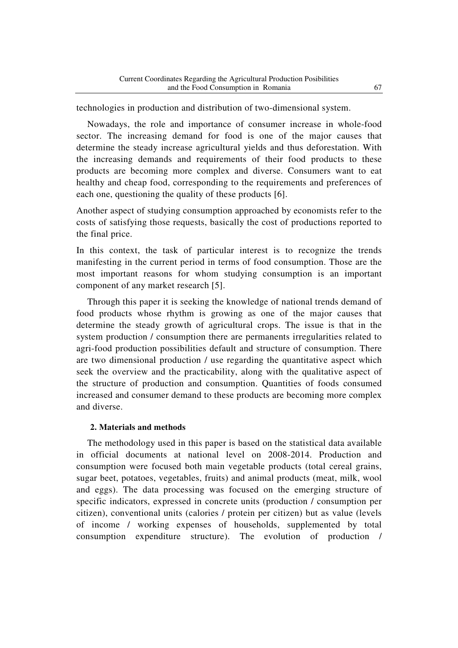technologies in production and distribution of two-dimensional system.

 Nowadays, the role and importance of consumer increase in whole-food sector. The increasing demand for food is one of the major causes that determine the steady increase agricultural yields and thus deforestation. With the increasing demands and requirements of their food products to these products are becoming more complex and diverse. Consumers want to eat healthy and cheap food, corresponding to the requirements and preferences of each one, questioning the quality of these products [6].

Another aspect of studying consumption approached by economists refer to the costs of satisfying those requests, basically the cost of productions reported to the final price.

In this context, the task of particular interest is to recognize the trends manifesting in the current period in terms of food consumption. Those are the most important reasons for whom studying consumption is an important component of any market research [5].

 Through this paper it is seeking the knowledge of national trends demand of food products whose rhythm is growing as one of the major causes that determine the steady growth of agricultural crops. The issue is that in the system production / consumption there are permanents irregularities related to agri-food production possibilities default and structure of consumption. There are two dimensional production / use regarding the quantitative aspect which seek the overview and the practicability, along with the qualitative aspect of the structure of production and consumption. Quantities of foods consumed increased and consumer demand to these products are becoming more complex and diverse.

## **2. Materials and methods**

 The methodology used in this paper is based on the statistical data available in official documents at national level on 2008-2014. Production and consumption were focused both main vegetable products (total cereal grains, sugar beet, potatoes, vegetables, fruits) and animal products (meat, milk, wool and eggs). The data processing was focused on the emerging structure of specific indicators, expressed in concrete units (production / consumption per citizen), conventional units (calories / protein per citizen) but as value (levels of income / working expenses of households, supplemented by total consumption expenditure structure). The evolution of production /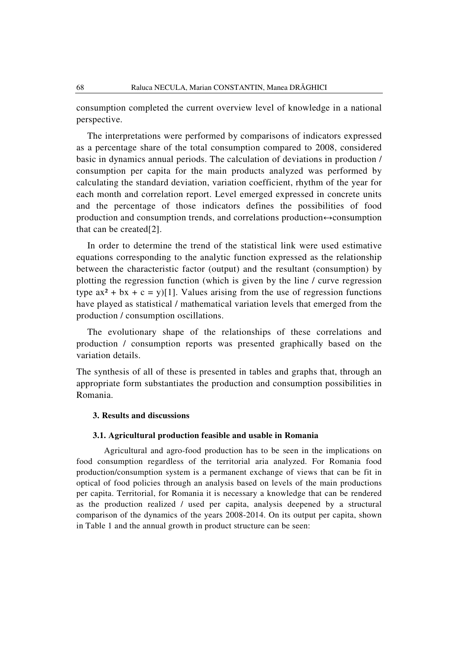consumption completed the current overview level of knowledge in a national perspective.

 The interpretations were performed by comparisons of indicators expressed as a percentage share of the total consumption compared to 2008, considered basic in dynamics annual periods. The calculation of deviations in production / consumption per capita for the main products analyzed was performed by calculating the standard deviation, variation coefficient, rhythm of the year for each month and correlation report. Level emerged expressed in concrete units and the percentage of those indicators defines the possibilities of food production and consumption trends, and correlations production $\leftrightarrow$ consumption that can be created[2].

 In order to determine the trend of the statistical link were used estimative equations corresponding to the analytic function expressed as the relationship between the characteristic factor (output) and the resultant (consumption) by plotting the regression function (which is given by the line / curve regression type  $ax^2 + bx + c = y$ [1]. Values arising from the use of regression functions have played as statistical / mathematical variation levels that emerged from the production / consumption oscillations.

 The evolutionary shape of the relationships of these correlations and production / consumption reports was presented graphically based on the variation details.

The synthesis of all of these is presented in tables and graphs that, through an appropriate form substantiates the production and consumption possibilities in Romania.

#### **3. Results and discussions**

#### **3.1. Agricultural production feasible and usable in Romania**

Agricultural and agro-food production has to be seen in the implications on food consumption regardless of the territorial aria analyzed. For Romania food production/consumption system is a permanent exchange of views that can be fit in optical of food policies through an analysis based on levels of the main productions per capita. Territorial, for Romania it is necessary a knowledge that can be rendered as the production realized / used per capita, analysis deepened by a structural comparison of the dynamics of the years 2008-2014. On its output per capita, shown in Table 1 and the annual growth in product structure can be seen: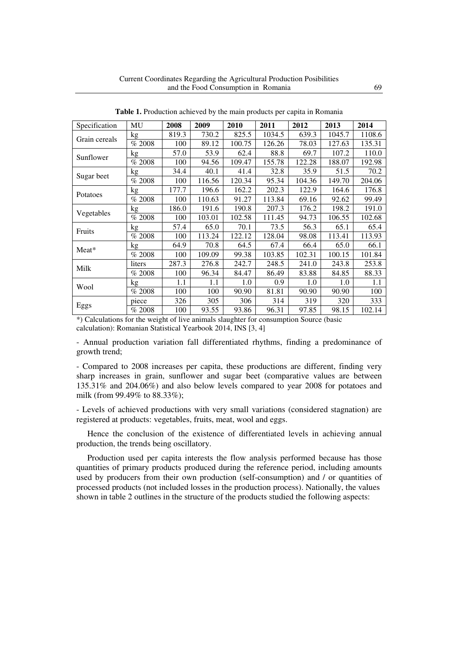| Specification | MU     | 2008  | 2009   | 2010   | 2011   | 2012   | 2013   | 2014   |
|---------------|--------|-------|--------|--------|--------|--------|--------|--------|
| Grain cereals | kg     | 819.3 | 730.2  | 825.5  | 1034.5 | 639.3  | 1045.7 | 1108.6 |
|               | % 2008 | 100   | 89.12  | 100.75 | 126.26 | 78.03  | 127.63 | 135.31 |
| Sunflower     | kg     | 57.0  | 53.9   | 62.4   | 88.8   | 69.7   | 107.2  | 110.0  |
|               | % 2008 | 100   | 94.56  | 109.47 | 155.78 | 122.28 | 188.07 | 192.98 |
| Sugar beet    | kg     | 34.4  | 40.1   | 41.4   | 32.8   | 35.9   | 51.5   | 70.2   |
|               | % 2008 | 100   | 116.56 | 120.34 | 95.34  | 104.36 | 149.70 | 204.06 |
|               | kg     | 177.7 | 196.6  | 162.2  | 202.3  | 122.9  | 164.6  | 176.8  |
| Potatoes      | % 2008 | 100   | 110.63 | 91.27  | 113.84 | 69.16  | 92.62  | 99.49  |
| Vegetables    | kg     | 186.0 | 191.6  | 190.8  | 207.3  | 176.2  | 198.2  | 191.0  |
|               | % 2008 | 100   | 103.01 | 102.58 | 111.45 | 94.73  | 106.55 | 102.68 |
| Fruits        | kg     | 57.4  | 65.0   | 70.1   | 73.5   | 56.3   | 65.1   | 65.4   |
|               | % 2008 | 100   | 113.24 | 122.12 | 128.04 | 98.08  | 113.41 | 113.93 |
| Meat*         | kg     | 64.9  | 70.8   | 64.5   | 67.4   | 66.4   | 65.0   | 66.1   |
|               | % 2008 | 100   | 109.09 | 99.38  | 103.85 | 102.31 | 100.15 | 101.84 |
| Milk          | liters | 287.3 | 276.8  | 242.7  | 248.5  | 241.0  | 243.8  | 253.8  |
|               | % 2008 | 100   | 96.34  | 84.47  | 86.49  | 83.88  | 84.85  | 88.33  |
| Wool          | kg     | 1.1   | 1.1    | 1.0    | 0.9    | 1.0    | 1.0    | 1.1    |
|               | % 2008 | 100   | 100    | 90.90  | 81.81  | 90.90  | 90.90  | 100    |
|               | piece  | 326   | 305    | 306    | 314    | 319    | 320    | 333    |
| Eggs          | % 2008 | 100   | 93.55  | 93.86  | 96.31  | 97.85  | 98.15  | 102.14 |

**Table 1.** Production achieved by the main products per capita in Romania

\*) Calculations for the weight of live animals slaughter for consumption Source (basic calculation): Romanian Statistical Yearbook 2014, INS [3, 4]

- Annual production variation fall differentiated rhythms, finding a predominance of growth trend;

- Compared to 2008 increases per capita, these productions are different, finding very sharp increases in grain, sunflower and sugar beet (comparative values are between 135.31% and 204.06%) and also below levels compared to year 2008 for potatoes and milk (from 99.49% to 88.33%);

- Levels of achieved productions with very small variations (considered stagnation) are registered at products: vegetables, fruits, meat, wool and eggs.

 Hence the conclusion of the existence of differentiated levels in achieving annual production, the trends being oscillatory.

 Production used per capita interests the flow analysis performed because has those quantities of primary products produced during the reference period, including amounts used by producers from their own production (self-consumption) and / or quantities of processed products (not included losses in the production process). Nationally, the values shown in table 2 outlines in the structure of the products studied the following aspects: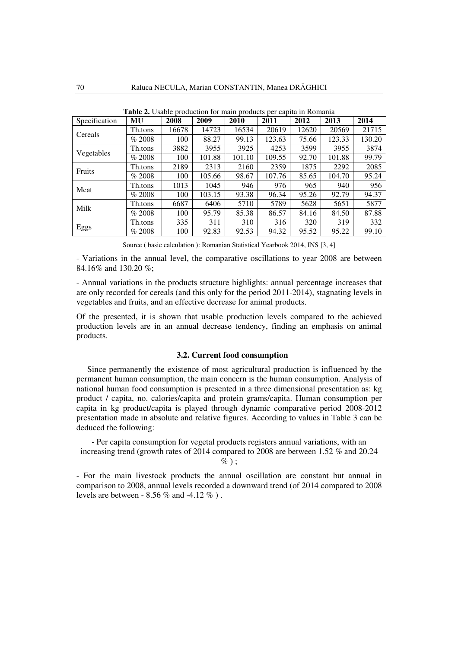| Specification | <b>MU</b> | 2008  | 2009   | 2010   | 2011   | 2012  | 2013   | 2014   |
|---------------|-----------|-------|--------|--------|--------|-------|--------|--------|
| Cereals       | Th.tons   | 16678 | 14723  | 16534  | 20619  | 12620 | 20569  | 21715  |
|               | % 2008    | 100   | 88.27  | 99.13  | 123.63 | 75.66 | 123.33 | 130.20 |
| Vegetables    | Th.tons   | 3882  | 3955   | 3925   | 4253   | 3599  | 3955   | 3874   |
|               | % 2008    | 100   | 101.88 | 101.10 | 109.55 | 92.70 | 101.88 | 99.79  |
| Fruits        | Th.tons   | 2189  | 2313   | 2160   | 2359   | 1875  | 2292   | 2085   |
|               | % 2008    | 100   | 105.66 | 98.67  | 107.76 | 85.65 | 104.70 | 95.24  |
| Meat          | Th.tons   | 1013  | 1045   | 946    | 976    | 965   | 940    | 956    |
|               | % 2008    | 100   | 103.15 | 93.38  | 96.34  | 95.26 | 92.79  | 94.37  |
| Milk          | Th.tons   | 6687  | 6406   | 5710   | 5789   | 5628  | 5651   | 5877   |
|               | % 2008    | 100   | 95.79  | 85.38  | 86.57  | 84.16 | 84.50  | 87.88  |
| Eggs          | Th.tons   | 335   | 311    | 310    | 316    | 320   | 319    | 332    |
|               | % 2008    | 100   | 92.83  | 92.53  | 94.32  | 95.52 | 95.22  | 99.10  |

**Table 2.** Usable production for main products per capita in Romania

Source ( basic calculation ): Romanian Statistical Yearbook 2014, INS [3, 4]

- Variations in the annual level, the comparative oscillations to year 2008 are between 84.16% and 130.20 %;

- Annual variations in the products structure highlights: annual percentage increases that are only recorded for cereals (and this only for the period 2011-2014), stagnating levels in vegetables and fruits, and an effective decrease for animal products.

Of the presented, it is shown that usable production levels compared to the achieved production levels are in an annual decrease tendency, finding an emphasis on animal products.

### **3.2. Current food consumption**

Since permanently the existence of most agricultural production is influenced by the permanent human consumption, the main concern is the human consumption. Analysis of national human food consumption is presented in a three dimensional presentation as: kg product / capita, no. calories/capita and protein grams/capita. Human consumption per capita in kg product/capita is played through dynamic comparative period 2008-2012 presentation made in absolute and relative figures. According to values in Table 3 can be deduced the following:

- Per capita consumption for vegetal products registers annual variations, with an increasing trend (growth rates of 2014 compared to 2008 are between 1.52 % and 20.24  $\%$ );

- For the main livestock products the annual oscillation are constant but annual in comparison to 2008, annual levels recorded a downward trend (of 2014 compared to 2008 levels are between - 8.56 % and -4.12 % ) .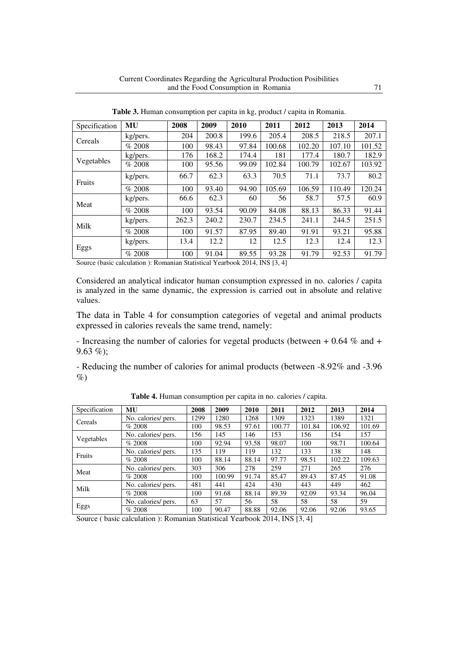| Specification | <b>MU</b> | 2008  | 2009  | 2010  | 2011   | 2012   | 2013   | 2014   |
|---------------|-----------|-------|-------|-------|--------|--------|--------|--------|
| Cereals       | kg/pers.  | 204   | 200.8 | 199.6 | 205.4  | 208.5  | 218.5  | 207.1  |
|               | % 2008    | 100   | 98.43 | 97.84 | 100.68 | 102.20 | 107.10 | 101.52 |
|               | kg/pers.  | 176   | 168.2 | 174.4 | 181    | 177.4  | 180.7  | 182.9  |
| Vegetables    | % 2008    | 100   | 95.56 | 99.09 | 102.84 | 100.79 | 102.67 | 103.92 |
| Fruits        | kg/pers.  | 66.7  | 62.3  | 63.3  | 70.5   | 71.1   | 73.7   | 80.2   |
|               | % 2008    | 100   | 93.40 | 94.90 | 105.69 | 106.59 | 110.49 | 120.24 |
| Meat          | kg/pers.  | 66.6  | 62.3  | 60    | 56     | 58.7   | 57.5   | 60.9   |
|               | % 2008    | 100   | 93.54 | 90.09 | 84.08  | 88.13  | 86.33  | 91.44  |
| Milk          | kg/pers.  | 262.3 | 240.2 | 230.7 | 234.5  | 241.1  | 244.5  | 251.5  |
|               | % 2008    | 100   | 91.57 | 87.95 | 89.40  | 91.91  | 93.21  | 95.88  |
| Eggs          | kg/pers.  | 13.4  | 12.2  | 12    | 12.5   | 12.3   | 12.4   | 12.3   |
|               | % 2008    | 100   | 91.04 | 89.55 | 93.28  | 91.79  | 92.53  | 91.79  |

**Table 3.** Human consumption per capita in kg, product / capita in Romania.

Source (basic calculation ): Romanian Statistical Yearbook 2014, INS [3, 4]

Considered an analytical indicator human consumption expressed in no. calories / capita is analyzed in the same dynamic, the expression is carried out in absolute and relative values.

The data in Table 4 for consumption categories of vegetal and animal products expressed in calories reveals the same trend, namely:

- Increasing the number of calories for vegetal products (between + 0.64 % and +  $9.63\%$ :

- Reducing the number of calories for animal products (between -8.92% and -3.96  $\%$ 

| Specification | MU                  | 2008 | 2009   | 2010  | 2011   | 2012   | 2013   | 2014   |
|---------------|---------------------|------|--------|-------|--------|--------|--------|--------|
| Cereals       | No. calories/ pers. | 1299 | 1280   | 1268  | 1309   | 1323   | 1389   | 1321   |
|               | % 2008              | 100  | 98.53  | 97.61 | 100.77 | 101.84 | 106.92 | 101.69 |
| Vegetables    | No. calories/ pers. | 156  | 145    | 146   | 153    | 156    | 154    | 157    |
|               | % 2008              | 100  | 92.94  | 93.58 | 98.07  | 100    | 98.71  | 100.64 |
| Fruits        | No. calories/ pers. | 135  | 119    | 119   | 132    | 133    | 138    | 148    |
|               | % 2008              | 100  | 88.14  | 88.14 | 97.77  | 98.51  | 102.22 | 109.63 |
| Meat          | No. calories/ pers. | 303  | 306    | 278   | 259    | 271    | 265    | 276    |
|               | % 2008              | 100  | 100.99 | 91.74 | 85.47  | 89.43  | 87.45  | 91.08  |
|               | No. calories/ pers. | 481  | 441    | 424   | 430    | 443    | 449    | 462    |
| Milk          | % 2008              | 100  | 91.68  | 88.14 | 89.39  | 92.09  | 93.34  | 96.04  |
|               | No. calories/ pers. | 63   | 57     | 56    | 58     | 58     | 58     | 59     |
| Eggs          | % 2008              | 100  | 90.47  | 88.88 | 92.06  | 92.06  | 92.06  | 93.65  |

**Table 4.** Human consumption per capita in no. calories / capita.

Source ( basic calculation ): Romanian Statistical Yearbook 2014, INS [3, 4]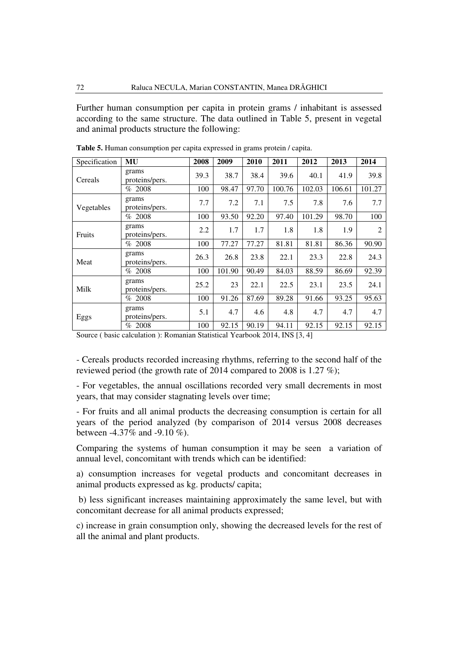Further human consumption per capita in protein grams / inhabitant is assessed according to the same structure. The data outlined in Table 5, present in vegetal and animal products structure the following:

| Specification | MU                      | 2008 | 2009   | 2010  | 2011   | 2012   | 2013   | 2014           |
|---------------|-------------------------|------|--------|-------|--------|--------|--------|----------------|
| Cereals       | grams<br>proteins/pers. | 39.3 | 38.7   | 38.4  | 39.6   | 40.1   | 41.9   | 39.8           |
|               | % 2008                  | 100  | 98.47  | 97.70 | 100.76 | 102.03 | 106.61 | 101.27         |
| Vegetables    | grams<br>proteins/pers. | 7.7  | 7.2    | 7.1   | 7.5    | 7.8    | 7.6    | 7.7            |
|               | % 2008                  | 100  | 93.50  | 92.20 | 97.40  | 101.29 | 98.70  | 100            |
| Fruits        | grams<br>proteins/pers. | 2.2  | 1.7    | 1.7   | 1.8    | 1.8    | 1.9    | $\overline{2}$ |
|               | % 2008                  | 100  | 77.27  | 77.27 | 81.81  | 81.81  | 86.36  | 90.90          |
| Meat          | grams<br>proteins/pers. | 26.3 | 26.8   | 23.8  | 22.1   | 23.3   | 22.8   | 24.3           |
|               | % 2008                  | 100  | 101.90 | 90.49 | 84.03  | 88.59  | 86.69  | 92.39          |
| Milk          | grams<br>proteins/pers. | 25.2 | 23     | 22.1  | 22.5   | 23.1   | 23.5   | 24.1           |
|               | % 2008                  | 100  | 91.26  | 87.69 | 89.28  | 91.66  | 93.25  | 95.63          |
| Eggs          | grams<br>proteins/pers. | 5.1  | 4.7    | 4.6   | 4.8    | 4.7    | 4.7    | 4.7            |
|               | % 2008                  | 100  | 92.15  | 90.19 | 94.11  | 92.15  | 92.15  | 92.15          |

**Table 5.** Human consumption per capita expressed in grams protein / capita.

Source ( basic calculation ): Romanian Statistical Yearbook 2014, INS [3, 4]

- Cereals products recorded increasing rhythms, referring to the second half of the reviewed period (the growth rate of 2014 compared to 2008 is 1.27 %);

- For vegetables, the annual oscillations recorded very small decrements in most years, that may consider stagnating levels over time;

- For fruits and all animal products the decreasing consumption is certain for all years of the period analyzed (by comparison of 2014 versus 2008 decreases between -4.37% and -9.10 %).

Comparing the systems of human consumption it may be seen a variation of annual level, concomitant with trends which can be identified:

a) consumption increases for vegetal products and concomitant decreases in animal products expressed as kg. products/ capita;

 b) less significant increases maintaining approximately the same level, but with concomitant decrease for all animal products expressed;

c) increase in grain consumption only, showing the decreased levels for the rest of all the animal and plant products.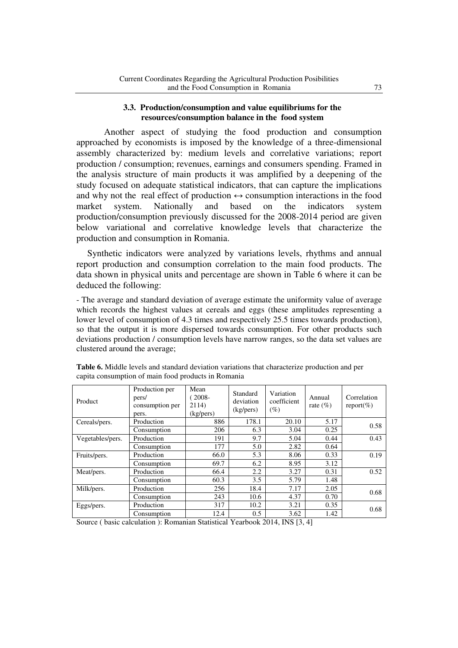## **3.3. Production/consumption and value equilibriums for the resources/consumption balance in the food system**

Another aspect of studying the food production and consumption approached by economists is imposed by the knowledge of a three-dimensional assembly characterized by: medium levels and correlative variations; report production / consumption; revenues, earnings and consumers spending. Framed in the analysis structure of main products it was amplified by a deepening of the study focused on adequate statistical indicators, that can capture the implications and why not the real effect of production  $\leftrightarrow$  consumption interactions in the food market system. Nationally and based on the indicators system production/consumption previously discussed for the 2008-2014 period are given below variational and correlative knowledge levels that characterize the production and consumption in Romania.

 Synthetic indicators were analyzed by variations levels, rhythms and annual report production and consumption correlation to the main food products. The data shown in physical units and percentage are shown in Table 6 where it can be deduced the following:

- The average and standard deviation of average estimate the uniformity value of average which records the highest values at cereals and eggs (these amplitudes representing a lower level of consumption of 4.3 times and respectively 25.5 times towards production), so that the output it is more dispersed towards consumption. For other products such deviations production / consumption levels have narrow ranges, so the data set values are clustered around the average;

| Product          | Production per<br>pers/<br>consumption per<br>pers. | Mean<br>$(2008 -$<br>2114)<br>(kg/pers) | Standard<br>deviation<br>(kg/pers) | Variation<br>coefficient<br>$(\%)$ | Annual<br>rate $(\% )$ | Correlation<br>report $(\%)$ |
|------------------|-----------------------------------------------------|-----------------------------------------|------------------------------------|------------------------------------|------------------------|------------------------------|
| Cereals/pers.    | Production                                          | 886                                     | 178.1                              | 20.10                              | 5.17                   | 0.58                         |
|                  | Consumption                                         | 206                                     | 6.3                                | 3.04                               | 0.25                   |                              |
| Vegetables/pers. | Production                                          | 191                                     | 9.7                                | 5.04                               | 0.44                   | 0.43                         |
|                  | Consumption                                         | 177                                     | 5.0                                | 2.82                               | 0.64                   |                              |
| Fruits/pers.     | Production                                          | 66.0                                    | 5.3                                | 8.06                               | 0.33                   | 0.19                         |
|                  | Consumption                                         | 69.7                                    | 6.2                                | 8.95                               | 3.12                   |                              |
| Meat/pers.       | Production                                          | 66.4                                    | 2.2                                | 3.27                               | 0.31                   | 0.52                         |
|                  | Consumption                                         | 60.3                                    | 3.5                                | 5.79                               | 1.48                   |                              |
| Milk/pers.       | Production                                          | 256                                     | 18.4                               | 7.17                               | 2.05                   | 0.68                         |
|                  | Consumption                                         | 243                                     | 10.6                               | 4.37                               | 0.70                   |                              |
| Eggs/pers.       | Production                                          | 317                                     | 10.2                               | 3.21                               | 0.35                   | 0.68                         |
|                  | Consumption                                         | 12.4                                    | 0.5                                | 3.62                               | 1.42                   |                              |

**Table 6.** Middle levels and standard deviation variations that characterize production and per capita consumption of main food products in Romania

Source ( basic calculation ): Romanian Statistical Yearbook 2014, INS [3, 4]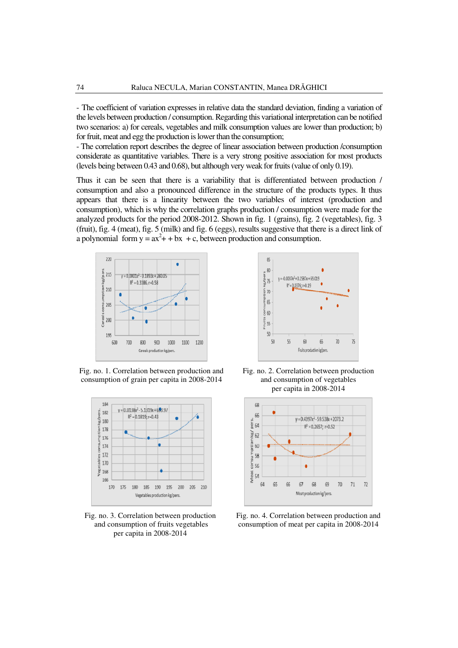- The coefficient of variation expresses in relative data the standard deviation, finding a variation of the levels between production / consumption. Regarding this variational interpretation can be notified two scenarios: a) for cereals, vegetables and milk consumption values are lower than production; b) for fruit, meat and egg the production is lower than the consumption;

- The correlation report describes the degree of linear association between production /consumption considerate as quantitative variables. There is a very strong positive association for most products (levels being between 0.43 and 0.68), but although very weak for fruits (value of only 0.19).

Thus it can be seen that there is a variability that is differentiated between production / consumption and also a pronounced difference in the structure of the products types. It thus appears that there is a linearity between the two variables of interest (production and consumption), which is why the correlation graphs production / consumption were made for the analyzed products for the period 2008-2012. Shown in fig. 1 (grains), fig. 2 (vegetables), fig. 3 (fruit), fig. 4 (meat), fig. 5 (milk) and fig. 6 (eggs), results suggestive that there is a direct link of a polynomial form  $y = ax^2 + bx + c$ , between production and consumption.



Fig. no. 1. Correlation between production and consumption of grain per capita in 2008-2014



Fig. no. 3. Correlation between production and consumption of fruits vegetables per capita in 2008-2014



Fig. no. 2. Correlation between production and consumption of vegetables per capita in 2008-2014



Fig. no. 4. Correlation between production and consumption of meat per capita in 2008-2014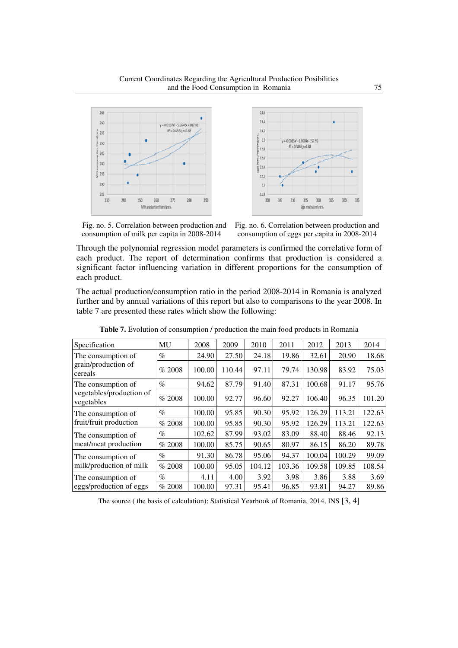



 Fig. no. 5. Correlation between production and consumption of milk per capita in 2008-2014

Fig. no. 6. Correlation between production and consumption of eggs per capita in 2008-2014

Through the polynomial regression model parameters is confirmed the correlative form of each product. The report of determination confirms that production is considered a significant factor influencing variation in different proportions for the consumption of each product.

The actual production/consumption ratio in the period 2008-2014 in Romania is analyzed further and by annual variations of this report but also to comparisons to the year 2008. In table 7 are presented these rates which show the following:

| Specification                          | MU     | 2008   | 2009   | 2010   | 2011   | 2012   | 2013   | 2014   |
|----------------------------------------|--------|--------|--------|--------|--------|--------|--------|--------|
| The consumption of                     | $\%$   | 24.90  | 27.50  | 24.18  | 19.86  | 32.61  | 20.90  | 18.68  |
| grain/production of<br>cereals         | % 2008 | 100.00 | 110.44 | 97.11  | 79.74  | 130.98 | 83.92  | 75.03  |
| The consumption of                     | $\%$   | 94.62  | 87.79  | 91.40  | 87.31  | 100.68 | 91.17  | 95.76  |
| vegetables/production of<br>vegetables | % 2008 | 100.00 | 92.77  | 96.60  | 92.27  | 106.40 | 96.35  | 101.20 |
| The consumption of                     | $\%$   | 100.00 | 95.85  | 90.30  | 95.92  | 126.29 | 113.21 | 122.63 |
| fruit/fruit production                 | % 2008 | 100.00 | 95.85  | 90.30  | 95.92  | 126.29 | 113.21 | 122.63 |
| The consumption of                     | $\%$   | 102.62 | 87.99  | 93.02  | 83.09  | 88.40  | 88.46  | 92.13  |
| meat/meat production                   | % 2008 | 100.00 | 85.75  | 90.65  | 80.97  | 86.15  | 86.20  | 89.78  |
| The consumption of                     | $\%$   | 91.30  | 86.78  | 95.06  | 94.37  | 100.04 | 100.29 | 99.09  |
| milk/production of milk                | % 2008 | 100.00 | 95.05  | 104.12 | 103.36 | 109.58 | 109.85 | 108.54 |
| The consumption of                     | $\%$   | 4.11   | 4.00   | 3.92   | 3.98   | 3.86   | 3.88   | 3.69   |
| eggs/production of eggs                | % 2008 | 100.00 | 97.31  | 95.41  | 96.85  | 93.81  | 94.27  | 89.86  |

**Table 7.** Evolution of consumption / production the main food products in Romania

The source ( the basis of calculation): Statistical Yearbook of Romania, 2014, INS [3, 4]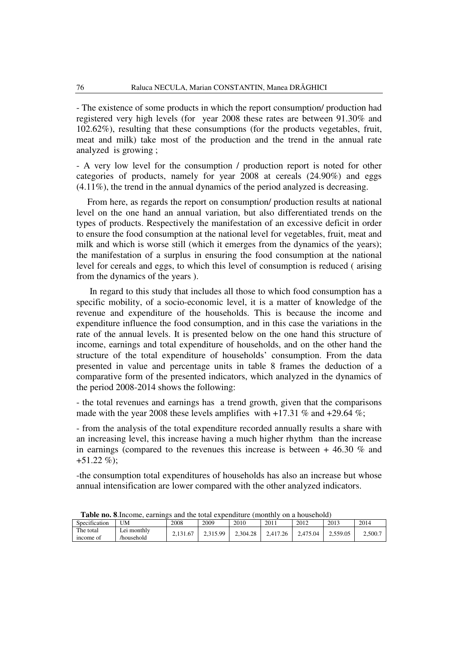- The existence of some products in which the report consumption/ production had registered very high levels (for year 2008 these rates are between 91.30% and 102.62%), resulting that these consumptions (for the products vegetables, fruit, meat and milk) take most of the production and the trend in the annual rate analyzed is growing ;

- A very low level for the consumption / production report is noted for other categories of products, namely for year 2008 at cereals (24.90%) and eggs (4.11%), the trend in the annual dynamics of the period analyzed is decreasing.

 From here, as regards the report on consumption/ production results at national level on the one hand an annual variation, but also differentiated trends on the types of products. Respectively the manifestation of an excessive deficit in order to ensure the food consumption at the national level for vegetables, fruit, meat and milk and which is worse still (which it emerges from the dynamics of the years); the manifestation of a surplus in ensuring the food consumption at the national level for cereals and eggs, to which this level of consumption is reduced ( arising from the dynamics of the years ).

 In regard to this study that includes all those to which food consumption has a specific mobility, of a socio-economic level, it is a matter of knowledge of the revenue and expenditure of the households. This is because the income and expenditure influence the food consumption, and in this case the variations in the rate of the annual levels. It is presented below on the one hand this structure of income, earnings and total expenditure of households, and on the other hand the structure of the total expenditure of households' consumption. From the data presented in value and percentage units in table 8 frames the deduction of a comparative form of the presented indicators, which analyzed in the dynamics of the period 2008-2014 shows the following:

- the total revenues and earnings has a trend growth, given that the comparisons made with the year 2008 these levels amplifies with  $+17.31$  % and  $+29.64$  %;

- from the analysis of the total expenditure recorded annually results a share with an increasing level, this increase having a much higher rhythm than the increase in earnings (compared to the revenues this increase is between + 46.30 % and  $+51.22\%$ :

-the consumption total expenditures of households has also an increase but whose annual intensification are lower compared with the other analyzed indicators.

| $\cdot$ $\sim$<br>Specification | <b>UM</b>                 | 2008 | 2009     | 2010     | 2011    | 2012     | 2013     | 2014    |
|---------------------------------|---------------------------|------|----------|----------|---------|----------|----------|---------|
| The total<br>income of          | ∟ei monthly<br>/household |      | 2.315.99 | 2,304.28 | .417.26 | 2.475.04 | 2.559.05 | 2,500.7 |

**Table no. 8**.Income, earnings and the total expenditure (monthly on a household)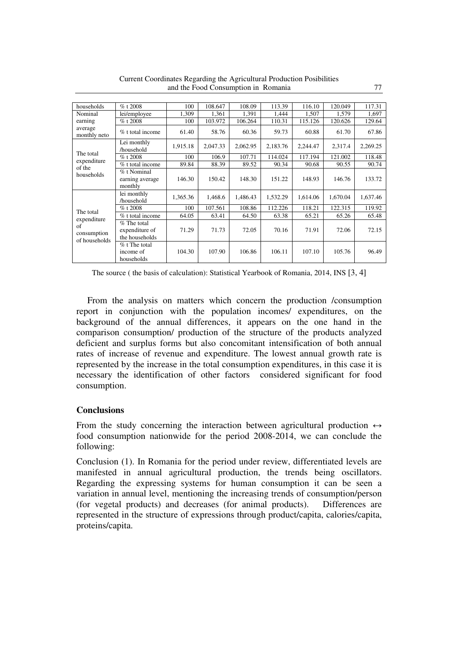| households                                        | $%$ t 2008                                        | 100      | 108.647  | 108.09   | 113.39   | 116.10   | 120.049  | 117.31   |
|---------------------------------------------------|---------------------------------------------------|----------|----------|----------|----------|----------|----------|----------|
| Nominal                                           | lei/employee                                      | 1,309    | 1,361    | 1,391    | 1.444    | 1,507    | 1,579    | 1,697    |
| earning                                           | $%$ t 2008                                        | 100      | 103.972  | 106.264  | 110.31   | 115.126  | 120.626  | 129.64   |
| average<br>monthly neto                           | % t total income                                  | 61.40    | 58.76    | 60.36    | 59.73    | 60.88    | 61.70    | 67.86    |
|                                                   | Lei monthly<br>/household                         | 1,915.18 | 2,047.33 | 2,062.95 | 2,183.76 | 2,244.47 | 2,317.4  | 2,269.25 |
| The total                                         | $%$ t 2008                                        | 100      | 106.9    | 107.71   | 114.024  | 117.194  | 121.002  | 118.48   |
| expenditure                                       | % t total income                                  | 89.84    | 88.39    | 89.52    | 90.34    | 90.68    | 90.55    | 90.74    |
| of the<br>households                              | $%$ t Nominal<br>earning average<br>monthly       | 146.30   | 150.42   | 148.30   | 151.22   | 148.93   | 146.76   | 133.72   |
|                                                   | lei monthly<br>/household                         | 1,365.36 | 1,468.6  | 1,486.43 | 1,532.29 | 1,614.06 | 1,670.04 | 1,637.46 |
| The total                                         | $%$ t 2008                                        | 100      | 107.561  | 108.86   | 112.226  | 118.21   | 122.315  | 119.92   |
|                                                   | % t total income                                  | 64.05    | 63.41    | 64.50    | 63.38    | 65.21    | 65.26    | 65.48    |
| expenditure<br>of<br>consumption<br>of households | $%$ The total<br>expenditure of<br>the households | 71.29    | 71.73    | 72.05    | 70.16    | 71.91    | 72.06    | 72.15    |
|                                                   | $%$ t The total<br>income of<br>households        | 104.30   | 107.90   | 106.86   | 106.11   | 107.10   | 105.76   | 96.49    |

Current Coordinates Regarding the Agricultural Production Posibilities and the Food Consumption in Romania 77

The source ( the basis of calculation): Statistical Yearbook of Romania, 2014, INS [3, 4]

 From the analysis on matters which concern the production /consumption report in conjunction with the population incomes/ expenditures, on the background of the annual differences, it appears on the one hand in the comparison consumption/ production of the structure of the products analyzed deficient and surplus forms but also concomitant intensification of both annual rates of increase of revenue and expenditure. The lowest annual growth rate is represented by the increase in the total consumption expenditures, in this case it is necessary the identification of other factors considered significant for food consumption.

## **Conclusions**

From the study concerning the interaction between agricultural production  $\leftrightarrow$ food consumption nationwide for the period 2008-2014, we can conclude the following:

Conclusion (1). In Romania for the period under review, differentiated levels are manifested in annual agricultural production, the trends being oscillators. Regarding the expressing systems for human consumption it can be seen a variation in annual level, mentioning the increasing trends of consumption/person (for vegetal products) and decreases (for animal products). Differences are represented in the structure of expressions through product/capita, calories/capita, proteins/capita.